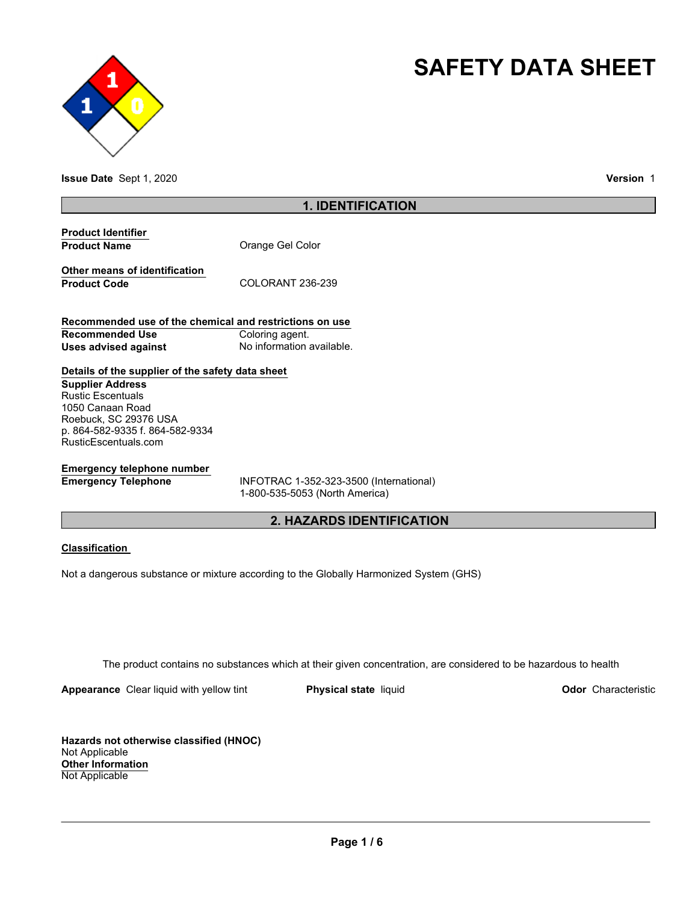



**Issue Date** Sept 1, 2020 **Version** 1

### **1. IDENTIFICATION**

| <b>Product Identifier</b> |                  |
|---------------------------|------------------|
| <b>Product Name</b>       | Orange Gel Color |

**Other means of identification** Product Code COLORANT 236-239

**Recommended use of the chemical and restrictions on use Recommended Use Coloring agent. Uses advised against No information available.** 

### **Details of the supplier of the safety data sheet**

**Supplier Address** Rustic Escentuals 1050 Canaan Road Roebuck, SC 29376 USA p. 864-582-9335 f. 864-582-9334 RusticEscentuals.com

# **Emergency telephone number**

**Emergency Telephone** INFOTRAC 1-352-323-3500 (International) 1-800-535-5053 (North America)

## **2. HAZARDS IDENTIFICATION**

#### **Classification**

Not a dangerous substance or mixture according to the Globally Harmonized System (GHS)

The product contains no substances which at their given concentration, are considered to be hazardous to health

**Appearance** Clear liquid with yellow tint **Physical state** liquid **Physical state Construction Odor** Characteristic

**Hazards not otherwise classified (HNOC)** Not Applicable **Other Information** Not Applicable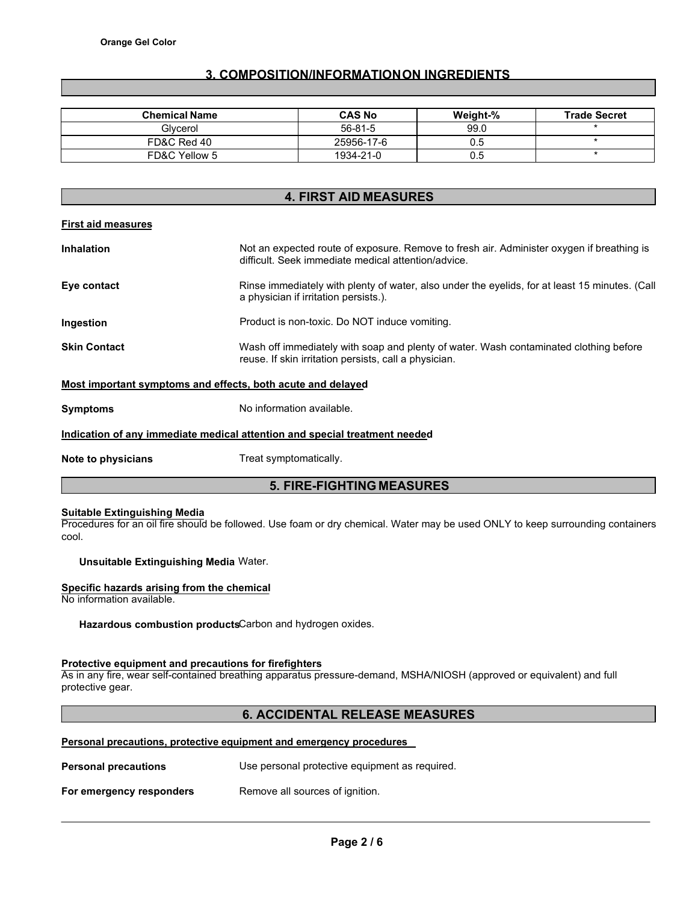## **3. COMPOSITION/INFORMATION ON INGREDIENTS**

| <b>Chemical Name</b> | <b>CAS No</b> | Weight-% | <b>Trade Secret</b> |
|----------------------|---------------|----------|---------------------|
| Glvcerol             | 56-81-5       | 99.0     |                     |
| FD&C Red 40          | 25956-17-6    | 0.5      |                     |
| FD&C Yellow 5        | 1934-21-0     | 0.5      |                     |

# **4. FIRST AID MEASURES**

#### **First aid measures**

| <b>Inhalation</b>   | Not an expected route of exposure. Remove to fresh air. Administer oxygen if breathing is<br>difficult. Seek immediate medical attention/advice. |
|---------------------|--------------------------------------------------------------------------------------------------------------------------------------------------|
| Eye contact         | Rinse immediately with plenty of water, also under the eyelids, for at least 15 minutes. (Call<br>a physician if irritation persists.).          |
| Ingestion           | Product is non-toxic. Do NOT induce vomiting.                                                                                                    |
| <b>Skin Contact</b> | Wash off immediately with soap and plenty of water. Wash contaminated clothing before<br>reuse. If skin irritation persists, call a physician.   |
|                     | Most important symptoms and effects, both acute and delayed                                                                                      |
| <b>Symptoms</b>     | No information available.                                                                                                                        |

# **Indication of any immediate medical attention and special treatment needed**

**Note to physicians Treat symptomatically.** 

### **5. FIRE-FIGHTING MEASURES**

#### **Suitable Extinguishing Media**

Procedures for an oil fire should be followed. Use foam or dry chemical. Water may be used ONLY to keep surrounding containers cool.

#### **Unsuitable Extinguishing Media** Water.

#### **Specific hazards arising from the chemical**

No information available.

**Hazardous combustion products**Carbon and hydrogen oxides.

#### **Protective equipment and precautions for firefighters**

As in any fire, wear self-contained breathing apparatus pressure-demand, MSHA/NIOSH (approved or equivalent) and full protective gear.

### **6. ACCIDENTAL RELEASE MEASURES**

#### **Personal precautions, protective equipment and emergency procedures**

| <b>Personal precautions</b> | Use personal protective equipment as required. |  |
|-----------------------------|------------------------------------------------|--|
| For emergency responders    | Remove all sources of ignition.                |  |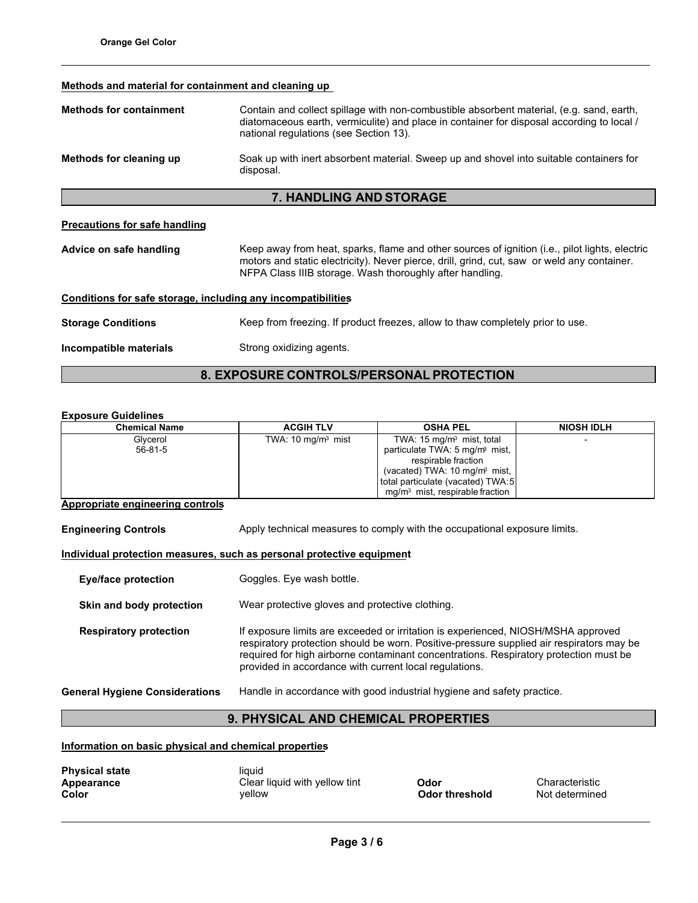#### **Methods and material for containment and cleaning up**

| <b>Methods for containment</b>                                  | Contain and collect spillage with non-combustible absorbent material, (e.g. sand, earth,<br>diatomaceous earth, vermiculite) and place in container for disposal according to local /<br>national regulations (see Section 13).                           |  |  |
|-----------------------------------------------------------------|-----------------------------------------------------------------------------------------------------------------------------------------------------------------------------------------------------------------------------------------------------------|--|--|
| Methods for cleaning up                                         | Soak up with inert absorbent material. Sweep up and shovel into suitable containers for<br>disposal.                                                                                                                                                      |  |  |
| <b>7. HANDLING AND STORAGE</b>                                  |                                                                                                                                                                                                                                                           |  |  |
| <b>Precautions for safe handling</b><br>Advice on safe handling | Keep away from heat, sparks, flame and other sources of ignition (i.e., pilot lights, electric<br>motors and static electricity). Never pierce, drill, grind, cut, saw or weld any container.<br>NFPA Class IIIB storage. Wash thoroughly after handling. |  |  |
| Conditions for safe storage, including any incompatibilities    |                                                                                                                                                                                                                                                           |  |  |
| <b>Storage Conditions</b>                                       | Keep from freezing. If product freezes, allow to thaw completely prior to use.                                                                                                                                                                            |  |  |
| Incompatible materials                                          | Strong oxidizing agents.                                                                                                                                                                                                                                  |  |  |

# **8. EXPOSURE CONTROLS/PERSONAL PROTECTION**

#### **Exposure Guidelines**

| <b>Chemical Name</b> | <b>ACGIH TLV</b>            | <b>OSHA PEL</b>                            | <b>NIOSH IDLH</b> |
|----------------------|-----------------------------|--------------------------------------------|-------------------|
| Glycerol             | TWA: $10 \text{ mg/m}$ mist | TWA: $15 \text{ mg/m}$ mist, total         |                   |
| $56 - 81 - 5$        |                             | particulate TWA: 5 mg/m <sup>3</sup> mist, |                   |
|                      |                             | respirable fraction                        |                   |
|                      |                             | (vacated) TWA: 10 mg/m <sup>3</sup> mist,  |                   |
|                      |                             | total particulate (vacated) TWA:5          |                   |
|                      |                             | $mq/m3$ mist, respirable fraction          |                   |

#### **Appropriate engineering controls**

**Engineering Controls Apply technical measures to comply with the occupational exposure limits.** 

#### **Individual protection measures, such as personal protective equipment**

| <b>Eye/face protection</b>            | Goggles. Eye wash bottle.                                                                                                                                                                                                                                                                                                        |  |
|---------------------------------------|----------------------------------------------------------------------------------------------------------------------------------------------------------------------------------------------------------------------------------------------------------------------------------------------------------------------------------|--|
| Skin and body protection              | Wear protective gloves and protective clothing.                                                                                                                                                                                                                                                                                  |  |
| <b>Respiratory protection</b>         | If exposure limits are exceeded or irritation is experienced, NIOSH/MSHA approved<br>respiratory protection should be worn. Positive-pressure supplied air respirators may be<br>required for high airborne contaminant concentrations. Respiratory protection must be<br>provided in accordance with current local regulations. |  |
| <b>General Hygiene Considerations</b> | Handle in accordance with good industrial hygiene and safety practice.                                                                                                                                                                                                                                                           |  |

# **9. PHYSICAL AND CHEMICAL PROPERTIES**

**Information on basic physical and chemical properties**

| <b>Physical state</b><br>Appearance | liquid<br>Clear liquid with yellow tint | Odor                  |
|-------------------------------------|-----------------------------------------|-----------------------|
| Color                               | vellow                                  | <b>Odor threshold</b> |

**Appearance Characteristic**<br>**A**<br>**A C**<br>**A C**<br>**A C**<br>**A C**<br>**C**<br>**A C**<br>**C**<br>**A C**<br>**C**<br>**A C**<br>**C**<br>**A C**<br>**C**<br>**A C**<br>**C Not determined**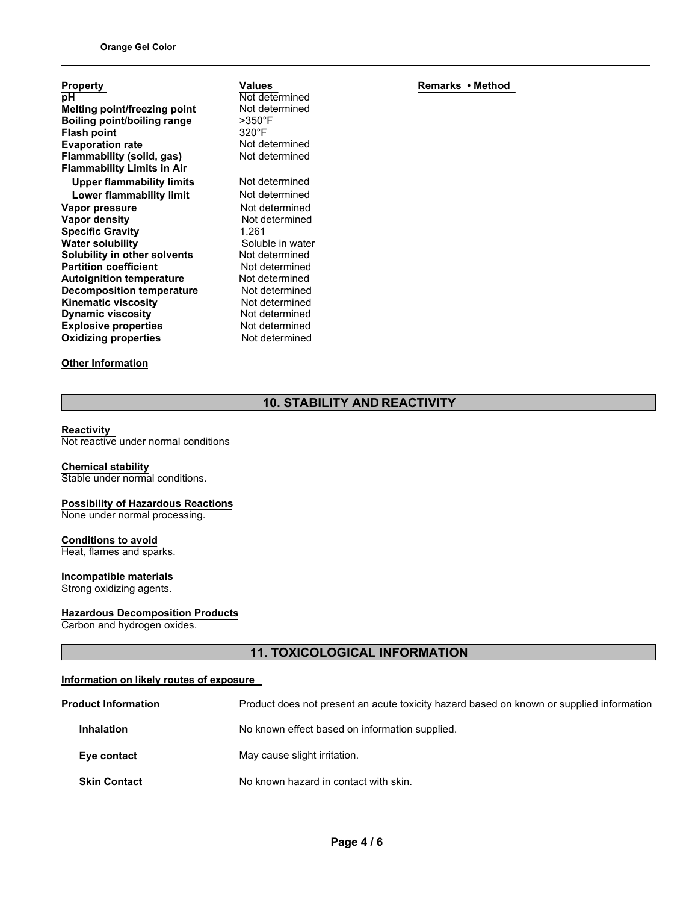| <b>Property</b>                     |
|-------------------------------------|
| рH                                  |
| <b>Melting point/freezing point</b> |
| Boiling point/boiling range         |
| <b>Flash point</b>                  |
| <b>Evaporation rate</b>             |
| Flammability (solid, gas)           |
| <b>Flammability Limits in Air</b>   |
| <b>Upper flammability limits</b>    |
| Lower flammability limit            |
| Vapor pressure                      |
| Vapor density                       |
| <b>Specific Gravity</b>             |
| <b>Water solubility</b>             |
| <b>Solubility in other solvents</b> |
| <b>Partition coefficient</b>        |
| <b>Autoignition temperature</b>     |
| <b>Decomposition temperature</b>    |
| <b>Kinematic viscosity</b>          |
| <b>Dynamic viscosity</b>            |
| <b>Explosive properties</b>         |
| <b>Oxidizing properties</b>         |
|                                     |

# **Other Information**

**Values** Not determined Not determined >350°F 320°F Not determined Not determined **Not determined Not determined Not determined Not determined Specific Gravity** 1.261 Soluble in water Not determined **Not determined Not determined Not determined Not determined Not determined Not determined Not determined** 

**Remarks • Method**

# **10. STABILITY AND REACTIVITY**

#### **Reactivity**

Not reactive under normal conditions

# **Chemical stability**

Stable under normal conditions.

#### **Possibility of Hazardous Reactions** None under normal processing.

**Conditions to avoid** Heat, flames and sparks.

# **Incompatible materials**

Strong oxidizing agents.

#### **Hazardous Decomposition Products**

Carbon and hydrogen oxides.

# **11. TOXICOLOGICAL INFORMATION**

#### **Information on likely routes of exposure**

| <b>Product Information</b> | Product does not present an acute toxicity hazard based on known or supplied information |  |
|----------------------------|------------------------------------------------------------------------------------------|--|
| <b>Inhalation</b>          | No known effect based on information supplied.                                           |  |
| Eye contact                | May cause slight irritation.                                                             |  |
| <b>Skin Contact</b>        | No known hazard in contact with skin.                                                    |  |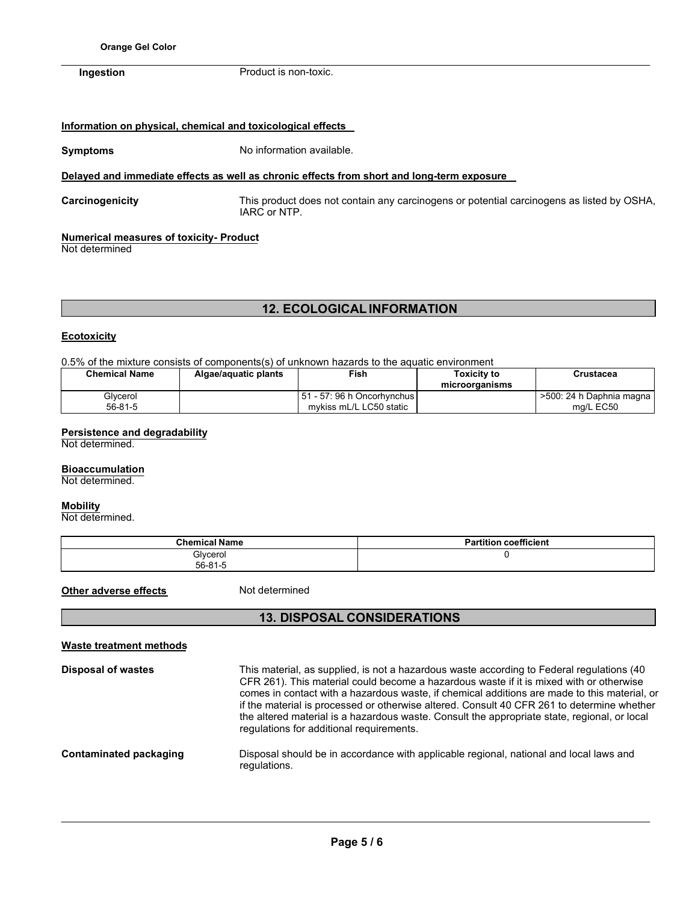**Ingestion** Product is non-toxic.

#### **Information on physical, chemical and toxicological effects**

**Symptoms** No information available.

### **Delayed and immediate effects as well as chronic effects from short and long-term exposure**

**Carcinogenicity** This product does not contain any carcinogens or potential carcinogens as listed by OSHA, IARC or NTP.

#### **Numerical measures of toxicity- Product**

Not determined

# **12. ECOLOGICAL INFORMATION**

#### **Ecotoxicity**

0.5% of the mixture consists of components(s) of unknown hazards to the aquatic environment

| <b>Chemical Name</b> | Algae/aguatic plants | Fish                                                      | Toxicitv to<br>microorganisms | Crustacea                             |
|----------------------|----------------------|-----------------------------------------------------------|-------------------------------|---------------------------------------|
| Glycerol<br>56-81-5  |                      | l 51 - 57: 96 h Oncorhvnchus l<br>mykiss mL/L LC50 static |                               | >500: 24 h Daphnia magna<br>ma/L EC50 |

### **Persistence and degradability**

Not determined.

#### **Bioaccumulation**

Not determined.

#### **Mobility**

Not determined.

| <b>Chemical Name</b>      | <b>Partition coefficient</b> |
|---------------------------|------------------------------|
| Glycerol<br>$56 - 81 - 5$ |                              |

**Other adverse effects** Not determined

### **13. DISPOSAL CONSIDERATIONS**

| <b>Waste treatment methods</b> |                                                                                                                                                                                                                                                                                                                                                                                                                                                                                                                                |
|--------------------------------|--------------------------------------------------------------------------------------------------------------------------------------------------------------------------------------------------------------------------------------------------------------------------------------------------------------------------------------------------------------------------------------------------------------------------------------------------------------------------------------------------------------------------------|
| <b>Disposal of wastes</b>      | This material, as supplied, is not a hazardous waste according to Federal regulations (40<br>CFR 261). This material could become a hazardous waste if it is mixed with or otherwise<br>comes in contact with a hazardous waste, if chemical additions are made to this material, or<br>if the material is processed or otherwise altered. Consult 40 CFR 261 to determine whether<br>the altered material is a hazardous waste. Consult the appropriate state, regional, or local<br>regulations for additional requirements. |
| Contaminated packaging         | Disposal should be in accordance with applicable regional, national and local laws and<br>regulations.                                                                                                                                                                                                                                                                                                                                                                                                                         |